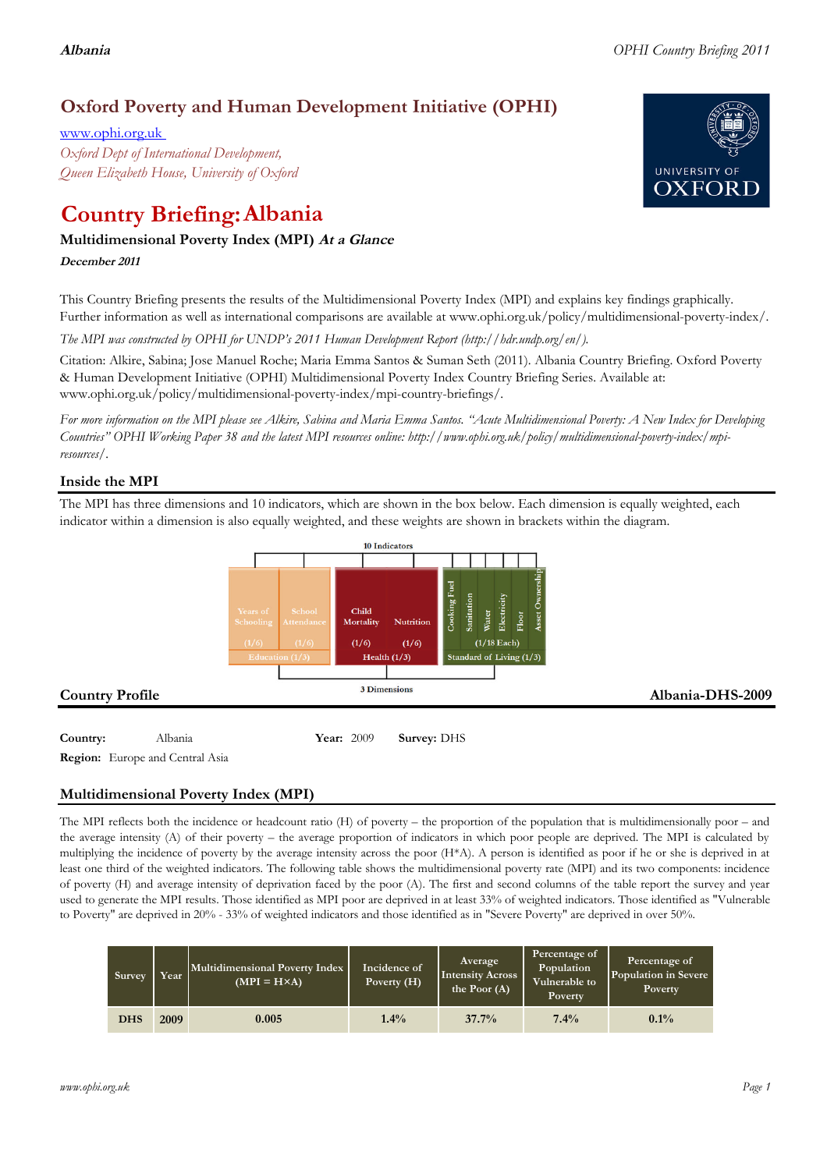# **Oxford Poverty and Human Development Initiative (OPHI)**

www.ophi.org.uk *Oxford Dept of International Development, Queen Elizabeth House, University of Oxford*

# **Country Briefing: Albania**

### **Multidimensional Poverty Index (MPI) At <sup>a</sup> Glance**

**December <sup>2011</sup>**

This Country Briefing presents the results of the Multidimensional Poverty Index (MPI) and explains key findings graphically. Further information as well as international comparisons are available at www.ophi.org.uk/policy/multidimensional-poverty-index/.

*The MPI was constructed by OPHI for UNDP's 2011 Human Development Report (http://hdr.undp.org/en/).*

Citation: Alkire, Sabina; Jose Manuel Roche; Maria Emma Santos & Suman Seth (2011). Albania Country Briefing. Oxford Poverty & Human Development Initiative (OPHI) Multidimensional Poverty Index Country Briefing Series. Available at: www.ophi.org.uk/policy/multidimensional-poverty-index/mpi-country-briefings/.

*For more information on the MPI please see Alkire, Sabina and Maria Emma Santos. "Acute Multidimensional Poverty: A New Index for Developing Countries" OPHI Working Paper 38 and the latest MPI resources online: http://www.ophi.org.uk/policy/multidimensional-poverty-index/mpiresources/.*

### **Inside the MPI**

The MPI has three dimensions and 10 indicators, which are shown in the box below. Each dimension is equally weighted, each indicator within a dimension is also equally weighted, and these weights are shown in brackets within the diagram.



## **Multidimensional Poverty Index (MPI)**

The MPI reflects both the incidence or headcount ratio (H) of poverty – the proportion of the population that is multidimensionally poor – and the average intensity (A) of their poverty – the average proportion of indicators in which poor people are deprived. The MPI is calculated by multiplying the incidence of poverty by the average intensity across the poor (H\*A). A person is identified as poor if he or she is deprived in at least one third of the weighted indicators. The following table shows the multidimensional poverty rate (MPI) and its two components: incidence of poverty (H) and average intensity of deprivation faced by the poor (A). The first and second columns of the table report the survey and year used to generate the MPI results. Those identified as MPI poor are deprived in at least 33% of weighted indicators. Those identified as "Vulnerable to Poverty" are deprived in 20% - 33% of weighted indicators and those identified as in "Severe Poverty" are deprived in over 50%.

| Survey     | Year | Multidimensional Poverty Index<br>$(MPI = H \times A)$ | Incidence of<br>Poverty $(H)$ | Average<br><b>Intensity Across</b><br>the Poor $(A)$ | Percentage of<br>Population<br>Vulnerable to<br>Poverty | Percentage of<br>Population in Severe<br><b>Poverty</b> |
|------------|------|--------------------------------------------------------|-------------------------------|------------------------------------------------------|---------------------------------------------------------|---------------------------------------------------------|
| <b>DHS</b> | 2009 | 0.005                                                  | $1.4\%$                       | 37.7%                                                | 7.4%                                                    | $0.1\%$                                                 |

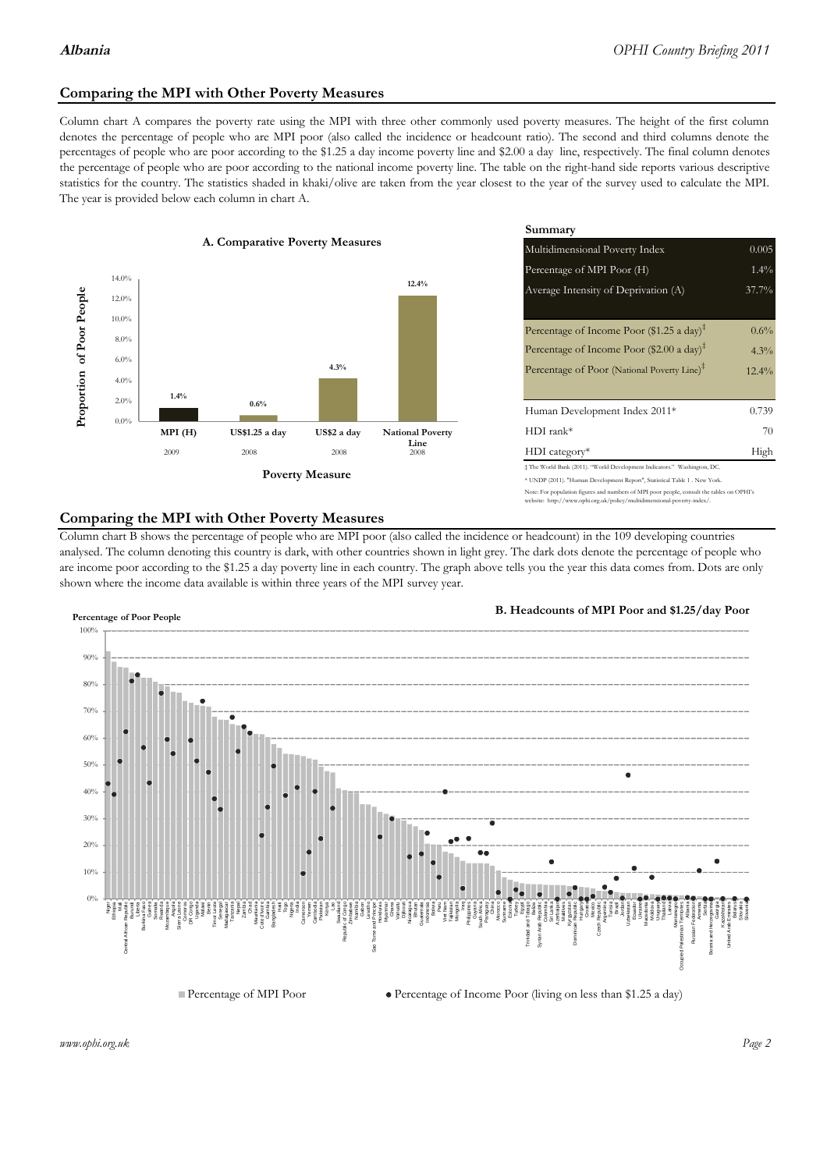### **Comparing the MPI with Other Poverty Measures**

Column chart A compares the poverty rate using the MPI with three other commonly used poverty measures. The height of the first column denotes the percentage of people who are MPI poor (also called the incidence or headcount ratio). The second and third columns denote the percentages of people who are poor according to the \$1.25 a day income poverty line and \$2.00 a day line, respectively. The final column denotes the percentage of people who are poor according to the national income poverty line. The table on the right-hand side reports various descriptive statistics for the country. The statistics shaded in khaki/olive are taken from the year closest to the year of the survey used to calculate the MPI. The year is provided below each column in chart A.



|                 |                         | Summary                                                                                                                                                   |          |  |  |
|-----------------|-------------------------|-----------------------------------------------------------------------------------------------------------------------------------------------------------|----------|--|--|
| erty Measures   |                         | 0.005<br>Multidimensional Poverty Index                                                                                                                   |          |  |  |
|                 |                         | Percentage of MPI Poor (H)                                                                                                                                | $1.4\%$  |  |  |
|                 | 12.4%                   | Average Intensity of Deprivation (A)                                                                                                                      | 37.7%    |  |  |
|                 |                         | Percentage of Income Poor (\$1.25 a day) <sup><math>\ddagger</math></sup>                                                                                 | $0.6\%$  |  |  |
|                 |                         | Percentage of Income Poor (\$2.00 a day) <sup><math>\bar{x}</math></sup>                                                                                  | 4.3%     |  |  |
| 4.3%            |                         | Percentage of Poor (National Poverty Line) <sup>#</sup>                                                                                                   | $12.4\%$ |  |  |
|                 |                         | Human Development Index 2011*                                                                                                                             | 0.739    |  |  |
| US\$2 a day     | <b>National Poverty</b> | $HDI$ rank*                                                                                                                                               | 70       |  |  |
| 2008            | Line<br>2008            | $HDI category*$                                                                                                                                           | High     |  |  |
| <b>⁄Ieasure</b> |                         | $\pm$ The World Bank (2011). "World Development Indicators." Washington, DC.<br>* UNDP (2011). "Human Development Report", Statistical Table 1. New York. |          |  |  |

te: For population figures and numbers of MPI poor people, consult the tables on OPHI's te: http://www.ophi.org.uk/policy/multidimensional-poverty-index/

### **Comparing the MPI with Other Poverty Measures**

Column chart B shows the percentage of people who are MPI poor (also called the incidence or headcount) in the 109 developing countries analysed. The column denoting this country is dark, with other countries shown in light grey. The dark dots denote the percentage of people who are income poor according to the \$1.25 a day poverty line in each country. The graph above tells you the year this data comes from. Dots are only shown where the income data available is within three years of the MPI survey year.



**B. Headcounts of MPI Poor and \$1.25/day Poor**



*www.ophi.org.uk Page 2*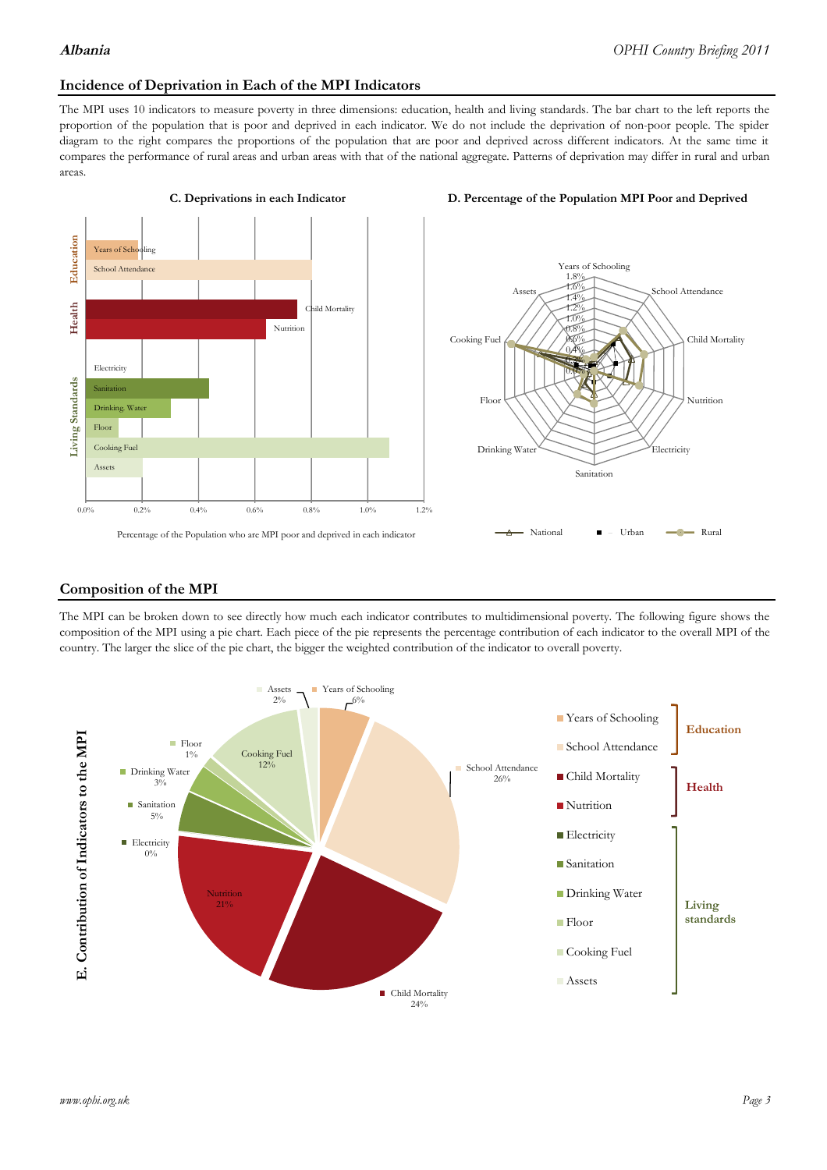### **Incidence of Deprivation in Each of the MPI Indicators**

The MPI uses 10 indicators to measure poverty in three dimensions: education, health and living standards. The bar chart to the left reports the proportion of the population that is poor and deprived in each indicator. We do not include the deprivation of non-poor people. The spider diagram to the right compares the proportions of the population that are poor and deprived across different indicators. At the same time it compares the performance of rural areas and urban areas with that of the national aggregate. Patterns of deprivation may differ in rural and urban areas.







### **Composition of the MPI**

The MPI can be broken down to see directly how much each indicator contributes to multidimensional poverty. The following figure shows the composition of the MPI using a pie chart. Each piece of the pie represents the percentage contribution of each indicator to the overall MPI of the country. The larger the slice of the pie chart, the bigger the weighted contribution of the indicator to overall poverty.